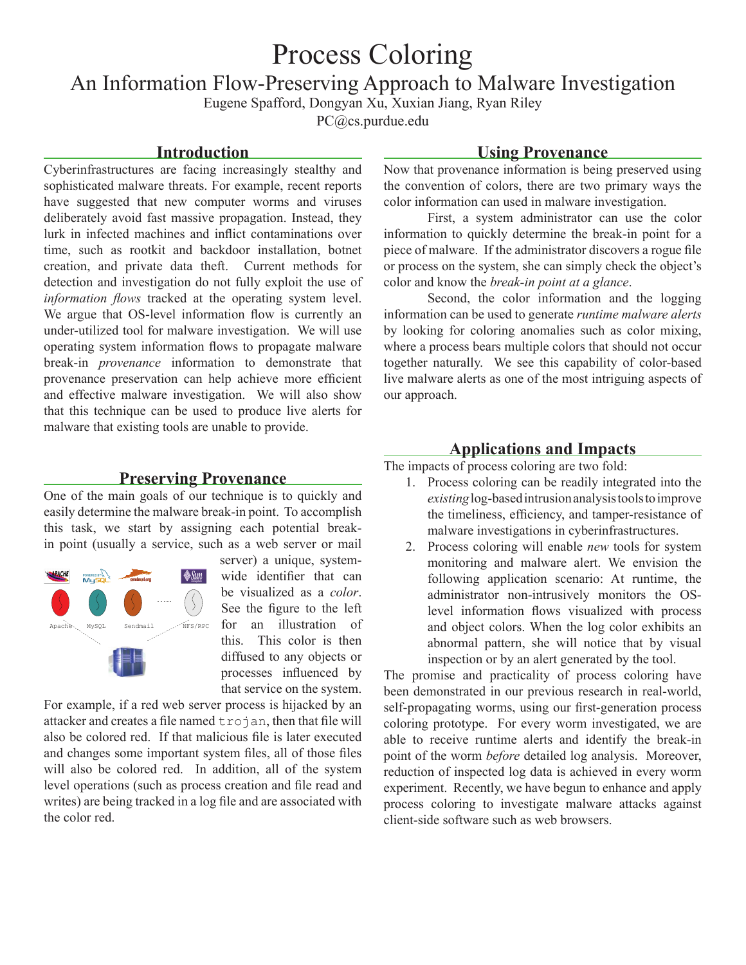# Process Coloring

An Information Flow-Preserving Approach to Malware Investigation

Eugene Spafford, Dongyan Xu, Xuxian Jiang, Ryan Riley

PC@cs.purdue.edu

#### **Introduction**

Cyberinfrastructures are facing increasingly stealthy and sophisticated malware threats. For example, recent reports have suggested that new computer worms and viruses deliberately avoid fast massive propagation. Instead, they lurk in infected machines and inflict contaminations over time, such as rootkit and backdoor installation, botnet creation, and private data theft. Current methods for detection and investigation do not fully exploit the use of *information flows* tracked at the operating system level. We argue that OS-level information flow is currently an under-utilized tool for malware investigation. We will use operating system information flows to propagate malware break-in *provenance* information to demonstrate that provenance preservation can help achieve more efficient and effective malware investigation. We will also show that this technique can be used to produce live alerts for malware that existing tools are unable to provide.

#### **Preserving Provenance**

One of the main goals of our technique is to quickly and easily determine the malware break-in point. To accomplish this task, we start by assigning each potential breakin point (usually a service, such as a web server or mail



server) a unique, systemwide identifier that can be visualized as a *color*. See the figure to the left for an illustration of this. This color is then diffused to any objects or processes influenced by that service on the system.

For example, if a red web server process is hijacked by an attacker and creates a file named trojan, then that file will also be colored red. If that malicious file is later executed and changes some important system files, all of those files will also be colored red. In addition, all of the system level operations (such as process creation and file read and writes) are being tracked in a log file and are associated with the color red.

#### **Using Provenance**

Now that provenance information is being preserved using the convention of colors, there are two primary ways the color information can used in malware investigation.

First, a system administrator can use the color information to quickly determine the break-in point for a piece of malware. If the administrator discovers a rogue file or process on the system, she can simply check the object's color and know the *break-in point at a glance*.

Second, the color information and the logging information can be used to generate *runtime malware alerts* by looking for coloring anomalies such as color mixing, where a process bears multiple colors that should not occur together naturally. We see this capability of color-based live malware alerts as one of the most intriguing aspects of our approach.

#### **Applications and Impacts**

The impacts of process coloring are two fold:

- 1. Process coloring can be readily integrated into the *existing* log-based intrusion analysis tools to improve the timeliness, efficiency, and tamper-resistance of malware investigations in cyberinfrastructures.
- 2. Process coloring will enable *new* tools for system monitoring and malware alert. We envision the following application scenario: At runtime, the administrator non-intrusively monitors the OSlevel information flows visualized with process and object colors. When the log color exhibits an abnormal pattern, she will notice that by visual inspection or by an alert generated by the tool.

The promise and practicality of process coloring have been demonstrated in our previous research in real-world, self-propagating worms, using our first-generation process coloring prototype. For every worm investigated, we are able to receive runtime alerts and identify the break-in point of the worm *before* detailed log analysis. Moreover, reduction of inspected log data is achieved in every worm experiment. Recently, we have begun to enhance and apply process coloring to investigate malware attacks against client-side software such as web browsers.